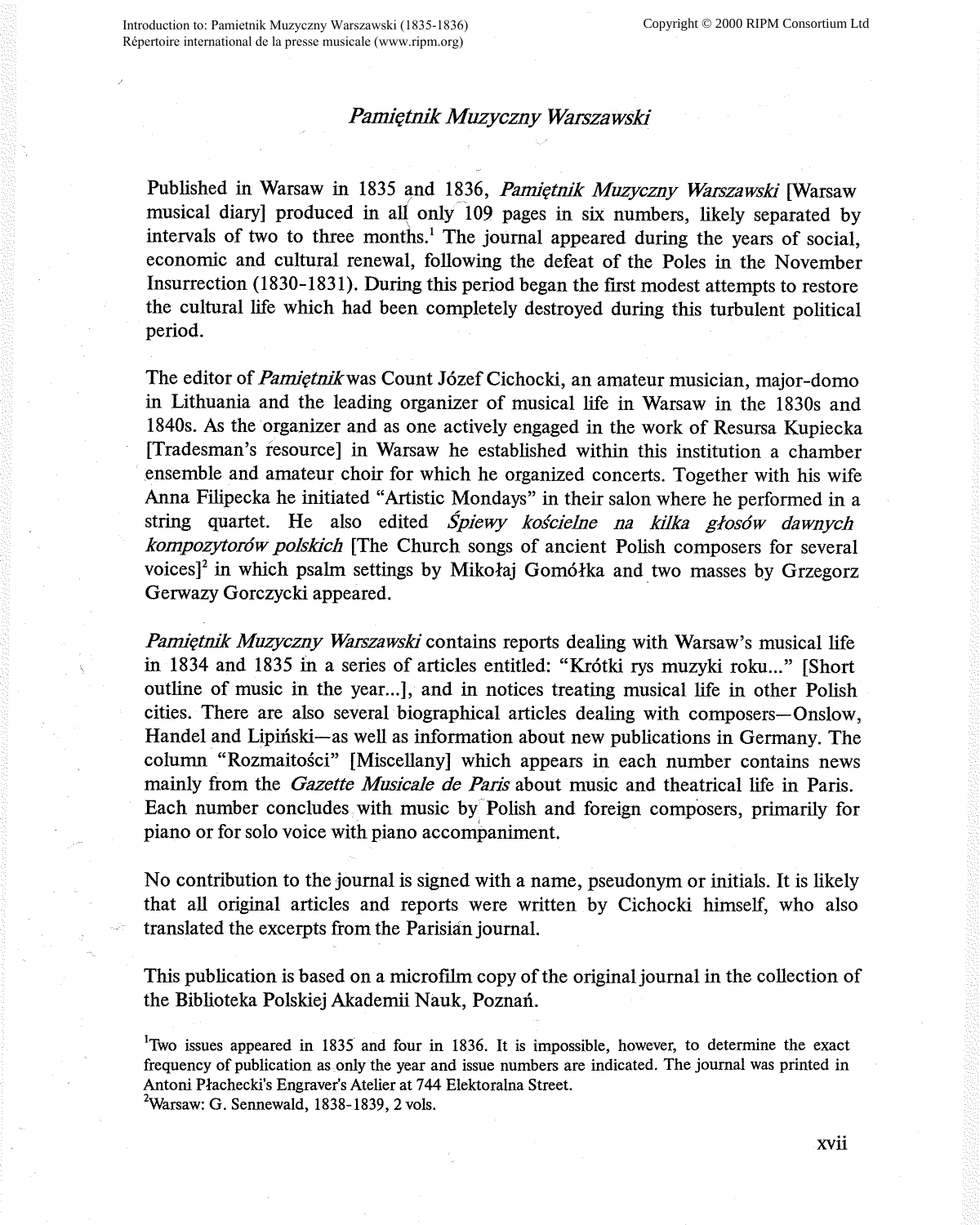## *Pamiętnik Muzyczny Warszawski*

Published in Warsaw in 1835 and 1836, *Pamiętnik Muzyczny Warszawski* [Warsaw musical diary] produced in all only 109 pages in six numbers, likely separated by intervals of two to three months.<sup>1</sup> The journal appeared during the years of social, economic and cultural renewal, following the defeat of the Poles in the November Insurrection (1830-1831). During this period began the first modest attempts to restore the cultural life which had been completely destroyed during this turbulent political period.

The editor of *Pamietnik* was Count Józef Cichocki, an amateur musician, major-domo in Lithuania and the leading organizer of musical life in Warsaw in the 1830s and 1840s. As the organizer and as one actively engaged in the work of Resursa Kupiecka [Tradesman's resource] in Warsaw he established within this institution a chamber ensemble and amateur choir for which he organized concerts. Together with his wife Anna Filipecka he initiated "Artistic Mondays" in their salon where he performed in <sup>a</sup> string quartet. He also edited *Spiewy koscielne na kilka glos6w dawnych kompozytor6w polskich* [The Church songs of ancient Polish composers for several voices]<sup>2</sup> in which psalm settings by Mikołaj Gomółka and two masses by Grzegorz Gerwazy Gorczycki appeared.

*Pamiętnik Muzyczny Warszawski* contains reports dealing with Warsaw's musical life in 1834 and 1835 in a series of articles entitled: "Krótki rys muzyki roku..." [Short outline of music in the year...], and in notices treating musical life in other Polish cities. There are also several biographical articles dealing with composers-Onslow, Handel and Lipinski-as well as information about new publications in Germany. The column "Rozmaitości" [Miscellany] which appears in each number contains news mainly from the *Gazette Musicale de Paris* about music and theatrical life in Paris. Each number concludes with music by Polish and foreign composers, primarily for piano or for solo voice with piano accompaniment.

No contribution to the journal is signed with a name, pseudonym or initials. It is likely that all original articles and reports were written by Cichocki himself, who also translated the excerpts from the Parisia'n journal.

This publication is based on a microfilm copy of the original journal in the collection of the Biblioteka Polskiej Akademii Nauk, Poznan.

1 Two issues appeared in 1835 and four in 1836. It is impossible, however, to determine the exact frequency of publication as only the year and issue numbers are indicated. The journal was printed in Antoni Plachecki's Engraver's Atelier at 744 Elektoralna Street.

 $2$ Warsaw: G. Sennewald, 1838-1839, 2 vols.